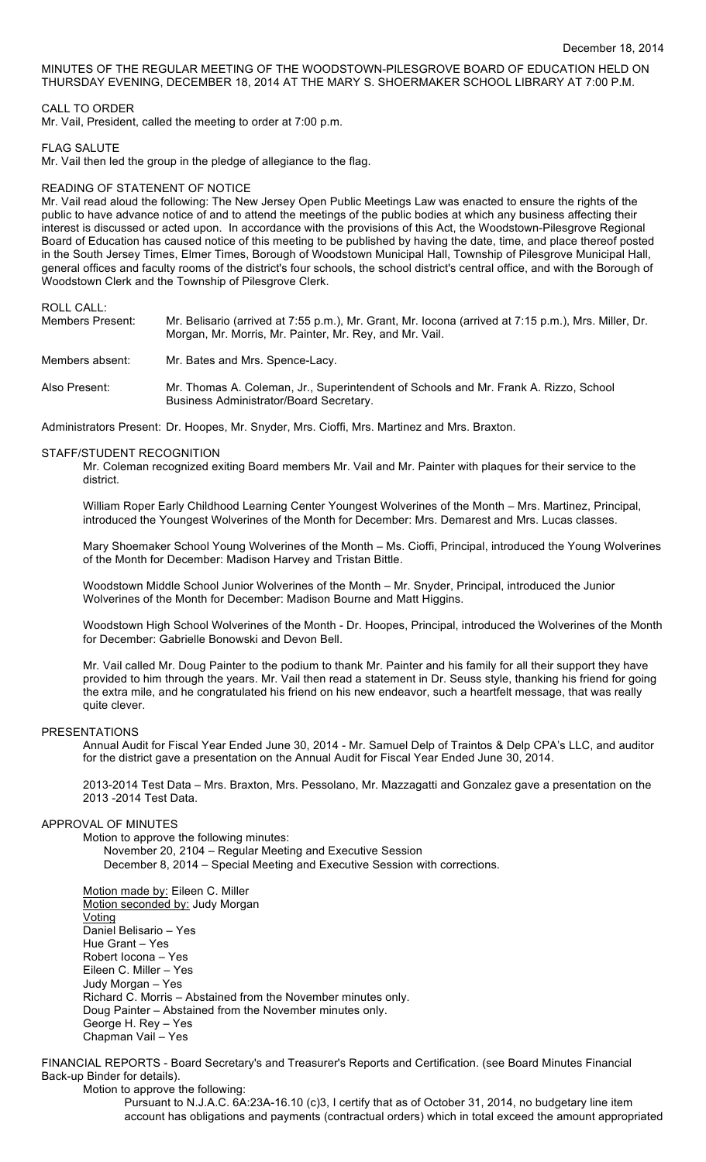## MINUTES OF THE REGULAR MEETING OF THE WOODSTOWN-PILESGROVE BOARD OF EDUCATION HELD ON THURSDAY EVENING, DECEMBER 18, 2014 AT THE MARY S. SHOERMAKER SCHOOL LIBRARY AT 7:00 P.M.

## CALL TO ORDER

Mr. Vail, President, called the meeting to order at 7:00 p.m.

### FLAG SALUTE

Mr. Vail then led the group in the pledge of allegiance to the flag.

#### READING OF STATENENT OF NOTICE

Mr. Vail read aloud the following: The New Jersey Open Public Meetings Law was enacted to ensure the rights of the public to have advance notice of and to attend the meetings of the public bodies at which any business affecting their interest is discussed or acted upon. In accordance with the provisions of this Act, the Woodstown-Pilesgrove Regional Board of Education has caused notice of this meeting to be published by having the date, time, and place thereof posted in the South Jersey Times, Elmer Times, Borough of Woodstown Municipal Hall, Township of Pilesgrove Municipal Hall, general offices and faculty rooms of the district's four schools, the school district's central office, and with the Borough of Woodstown Clerk and the Township of Pilesgrove Clerk.

## ROLL CALL:

| Members Present: | Mr. Belisario (arrived at 7:55 p.m.), Mr. Grant, Mr. locona (arrived at 7:15 p.m.), Mrs. Miller, Dr.<br>Morgan, Mr. Morris, Mr. Painter, Mr. Rey, and Mr. Vail. |
|------------------|-----------------------------------------------------------------------------------------------------------------------------------------------------------------|
| Members absent:  | Mr. Bates and Mrs. Spence-Lacy.                                                                                                                                 |
| Also Present:    | Mr. Thomas A. Coleman, Jr., Superintendent of Schools and Mr. Frank A. Rizzo, School<br>Business Administrator/Board Secretary.                                 |

Administrators Present: Dr. Hoopes, Mr. Snyder, Mrs. Cioffi, Mrs. Martinez and Mrs. Braxton.

### STAFF/STUDENT RECOGNITION

Mr. Coleman recognized exiting Board members Mr. Vail and Mr. Painter with plaques for their service to the district.

William Roper Early Childhood Learning Center Youngest Wolverines of the Month – Mrs. Martinez, Principal, introduced the Youngest Wolverines of the Month for December: Mrs. Demarest and Mrs. Lucas classes.

Mary Shoemaker School Young Wolverines of the Month – Ms. Cioffi, Principal, introduced the Young Wolverines of the Month for December: Madison Harvey and Tristan Bittle.

Woodstown Middle School Junior Wolverines of the Month – Mr. Snyder, Principal, introduced the Junior Wolverines of the Month for December: Madison Bourne and Matt Higgins.

Woodstown High School Wolverines of the Month - Dr. Hoopes, Principal, introduced the Wolverines of the Month for December: Gabrielle Bonowski and Devon Bell.

Mr. Vail called Mr. Doug Painter to the podium to thank Mr. Painter and his family for all their support they have provided to him through the years. Mr. Vail then read a statement in Dr. Seuss style, thanking his friend for going the extra mile, and he congratulated his friend on his new endeavor, such a heartfelt message, that was really quite clever.

## PRESENTATIONS

Annual Audit for Fiscal Year Ended June 30, 2014 - Mr. Samuel Delp of Traintos & Delp CPA's LLC, and auditor for the district gave a presentation on the Annual Audit for Fiscal Year Ended June 30, 2014.

2013-2014 Test Data – Mrs. Braxton, Mrs. Pessolano, Mr. Mazzagatti and Gonzalez gave a presentation on the 2013 -2014 Test Data.

## APPROVAL OF MINUTES

Motion to approve the following minutes:

November 20, 2104 – Regular Meeting and Executive Session December 8, 2014 – Special Meeting and Executive Session with corrections.

Motion made by: Eileen C. Miller Motion seconded by: Judy Morgan **Voting** Daniel Belisario – Yes Hue Grant – Yes Robert Iocona – Yes Eileen C. Miller – Yes Judy Morgan – Yes Richard C. Morris – Abstained from the November minutes only. Doug Painter – Abstained from the November minutes only. George H. Rey – Yes Chapman Vail – Yes

FINANCIAL REPORTS - Board Secretary's and Treasurer's Reports and Certification. (see Board Minutes Financial Back-up Binder for details).

### Motion to approve the following:

Pursuant to N.J.A.C. 6A:23A-16.10 (c)3, I certify that as of October 31, 2014, no budgetary line item account has obligations and payments (contractual orders) which in total exceed the amount appropriated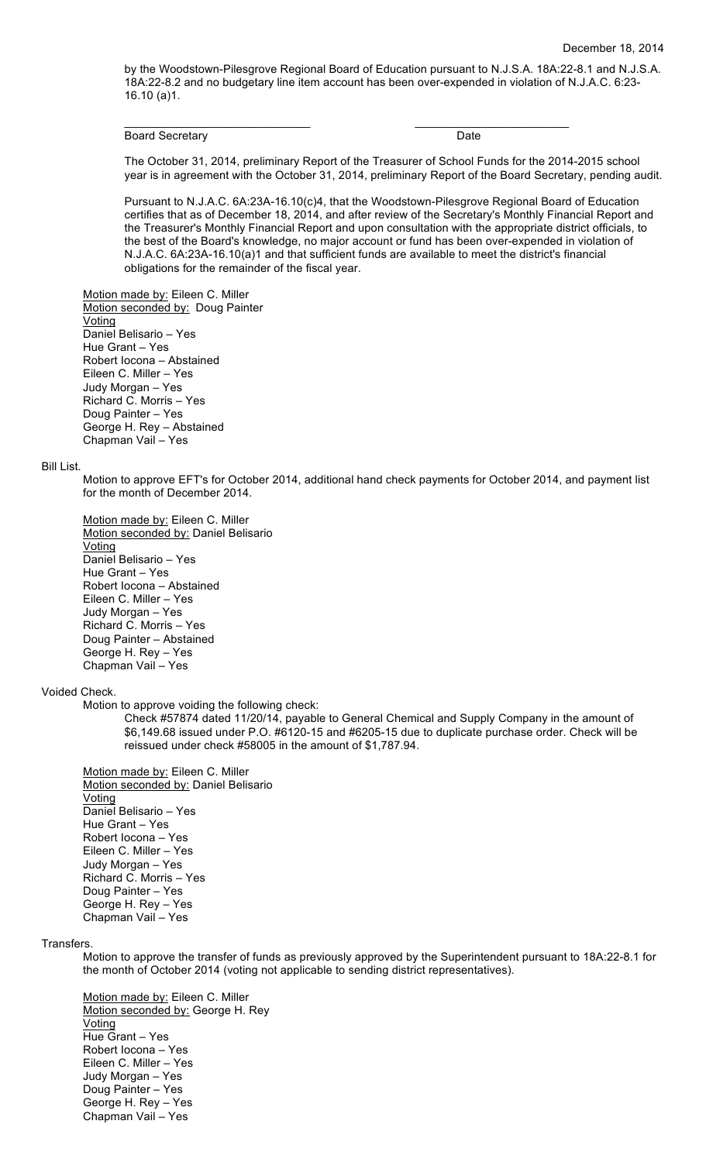by the Woodstown-Pilesgrove Regional Board of Education pursuant to N.J.S.A. 18A:22-8.1 and N.J.S.A. 18A:22-8.2 and no budgetary line item account has been over-expended in violation of N.J.A.C. 6:23- 16.10 (a)1.

\_\_\_\_\_\_\_\_\_\_\_\_\_\_\_\_\_\_\_\_\_\_\_\_\_\_\_\_\_ \_\_\_\_\_\_\_\_\_\_\_\_\_\_\_\_\_\_\_\_\_\_\_\_

Board Secretary **Date** 

The October 31, 2014, preliminary Report of the Treasurer of School Funds for the 2014-2015 school year is in agreement with the October 31, 2014, preliminary Report of the Board Secretary, pending audit.

Pursuant to N.J.A.C. 6A:23A-16.10(c)4, that the Woodstown-Pilesgrove Regional Board of Education certifies that as of December 18, 2014, and after review of the Secretary's Monthly Financial Report and the Treasurer's Monthly Financial Report and upon consultation with the appropriate district officials, to the best of the Board's knowledge, no major account or fund has been over-expended in violation of N.J.A.C. 6A:23A-16.10(a)1 and that sufficient funds are available to meet the district's financial obligations for the remainder of the fiscal year.

Motion made by: Eileen C. Miller Motion seconded by: Doug Painter **Voting** Daniel Belisario – Yes Hue Grant – Yes Robert Iocona – Abstained Eileen C. Miller – Yes Judy Morgan – Yes Richard C. Morris – Yes Doug Painter – Yes George H. Rey – Abstained Chapman Vail – Yes

#### Bill List.

Motion to approve EFT's for October 2014, additional hand check payments for October 2014, and payment list for the month of December 2014.

Motion made by: Eileen C. Miller Motion seconded by: Daniel Belisario Voting Daniel Belisario – Yes Hue Grant – Yes Robert Iocona – Abstained Eileen C. Miller – Yes Judy Morgan – Yes Richard C. Morris – Yes Doug Painter – Abstained George H. Rey – Yes Chapman Vail – Yes

#### Voided Check.

Motion to approve voiding the following check:

Check #57874 dated 11/20/14, payable to General Chemical and Supply Company in the amount of \$6,149.68 issued under P.O. #6120-15 and #6205-15 due to duplicate purchase order. Check will be reissued under check #58005 in the amount of \$1,787.94.

Motion made by: Eileen C. Miller Motion seconded by: Daniel Belisario Voting Daniel Belisario – Yes Hue Grant – Yes Robert Iocona – Yes Eileen C. Miller – Yes Judy Morgan – Yes Richard C. Morris – Yes Doug Painter – Yes George H. Rey – Yes Chapman Vail – Yes

#### Transfers.

Motion to approve the transfer of funds as previously approved by the Superintendent pursuant to 18A:22-8.1 for the month of October 2014 (voting not applicable to sending district representatives).

Motion made by: Eileen C. Miller Motion seconded by: George H. Rey Voting Hue Grant – Yes Robert Iocona – Yes Eileen C. Miller – Yes Judy Morgan – Yes Doug Painter – Yes George H. Rey – Yes Chapman Vail – Yes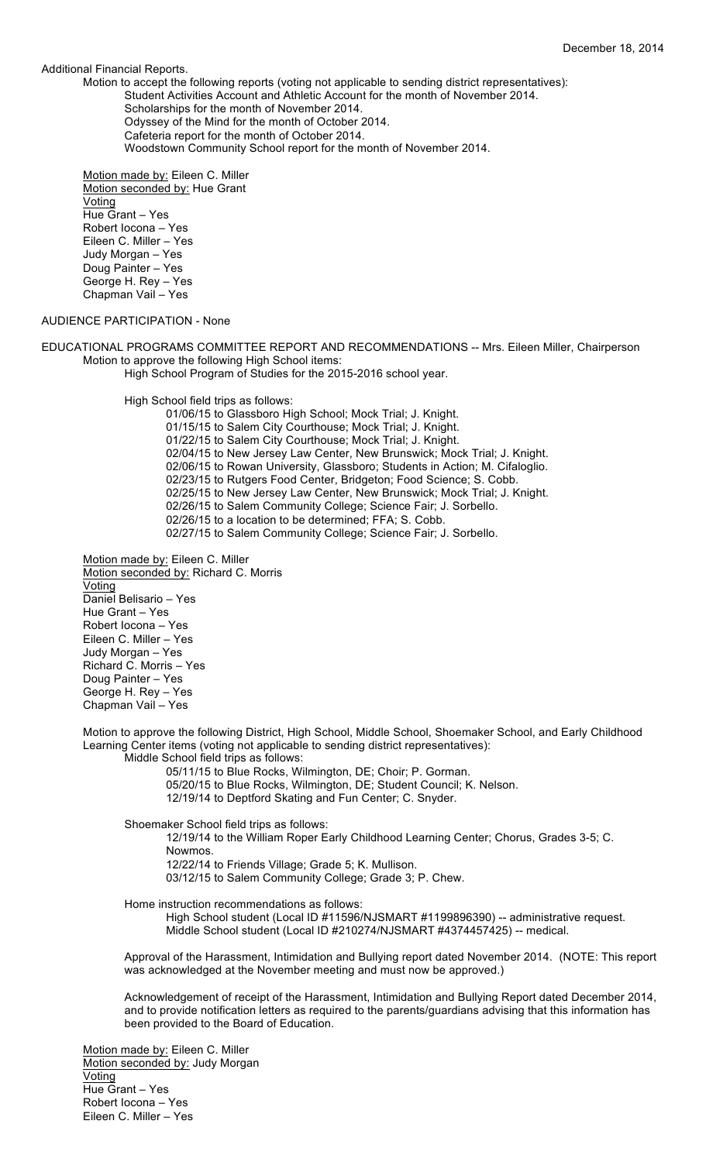### Additional Financial Reports.

Motion to accept the following reports (voting not applicable to sending district representatives): Student Activities Account and Athletic Account for the month of November 2014. Scholarships for the month of November 2014. Odyssey of the Mind for the month of October 2014. Cafeteria report for the month of October 2014. Woodstown Community School report for the month of November 2014.

Motion made by: Eileen C. Miller Motion seconded by: Hue Grant Voting Hue Grant – Yes Robert Iocona – Yes Eileen C. Miller – Yes Judy Morgan – Yes Doug Painter – Yes George H. Rey – Yes Chapman Vail – Yes

## AUDIENCE PARTICIPATION - None

EDUCATIONAL PROGRAMS COMMITTEE REPORT AND RECOMMENDATIONS -- Mrs. Eileen Miller, Chairperson Motion to approve the following High School items:

High School Program of Studies for the 2015-2016 school year.

High School field trips as follows:

01/06/15 to Glassboro High School; Mock Trial; J. Knight. 01/15/15 to Salem City Courthouse; Mock Trial; J. Knight. 01/22/15 to Salem City Courthouse; Mock Trial; J. Knight. 02/04/15 to New Jersey Law Center, New Brunswick; Mock Trial; J. Knight. 02/06/15 to Rowan University, Glassboro; Students in Action; M. Cifaloglio. 02/23/15 to Rutgers Food Center, Bridgeton; Food Science; S. Cobb. 02/25/15 to New Jersey Law Center, New Brunswick; Mock Trial; J. Knight. 02/26/15 to Salem Community College; Science Fair; J. Sorbello. 02/26/15 to a location to be determined; FFA; S. Cobb. 02/27/15 to Salem Community College; Science Fair; J. Sorbello.

Motion made by: Eileen C. Miller Motion seconded by: Richard C. Morris Voting Daniel Belisario – Yes Hue Grant – Yes Robert Iocona – Yes Eileen C. Miller – Yes Judy Morgan – Yes Richard C. Morris – Yes Doug Painter – Yes George H. Rey – Yes Chapman Vail – Yes

Motion to approve the following District, High School, Middle School, Shoemaker School, and Early Childhood Learning Center items (voting not applicable to sending district representatives):

Middle School field trips as follows:

05/11/15 to Blue Rocks, Wilmington, DE; Choir; P. Gorman.

05/20/15 to Blue Rocks, Wilmington, DE; Student Council; K. Nelson.

12/19/14 to Deptford Skating and Fun Center; C. Snyder.

Shoemaker School field trips as follows:

12/19/14 to the William Roper Early Childhood Learning Center; Chorus, Grades 3-5; C. Nowmos.

12/22/14 to Friends Village; Grade 5; K. Mullison.

03/12/15 to Salem Community College; Grade 3; P. Chew.

Home instruction recommendations as follows:

High School student (Local ID #11596/NJSMART #1199896390) -- administrative request. Middle School student (Local ID #210274/NJSMART #4374457425) -- medical.

Approval of the Harassment, Intimidation and Bullying report dated November 2014. (NOTE: This report was acknowledged at the November meeting and must now be approved.)

Acknowledgement of receipt of the Harassment, Intimidation and Bullying Report dated December 2014, and to provide notification letters as required to the parents/guardians advising that this information has been provided to the Board of Education.

Motion made by: Eileen C. Miller Motion seconded by: Judy Morgan Voting Hue Grant – Yes Robert Iocona – Yes Eileen C. Miller – Yes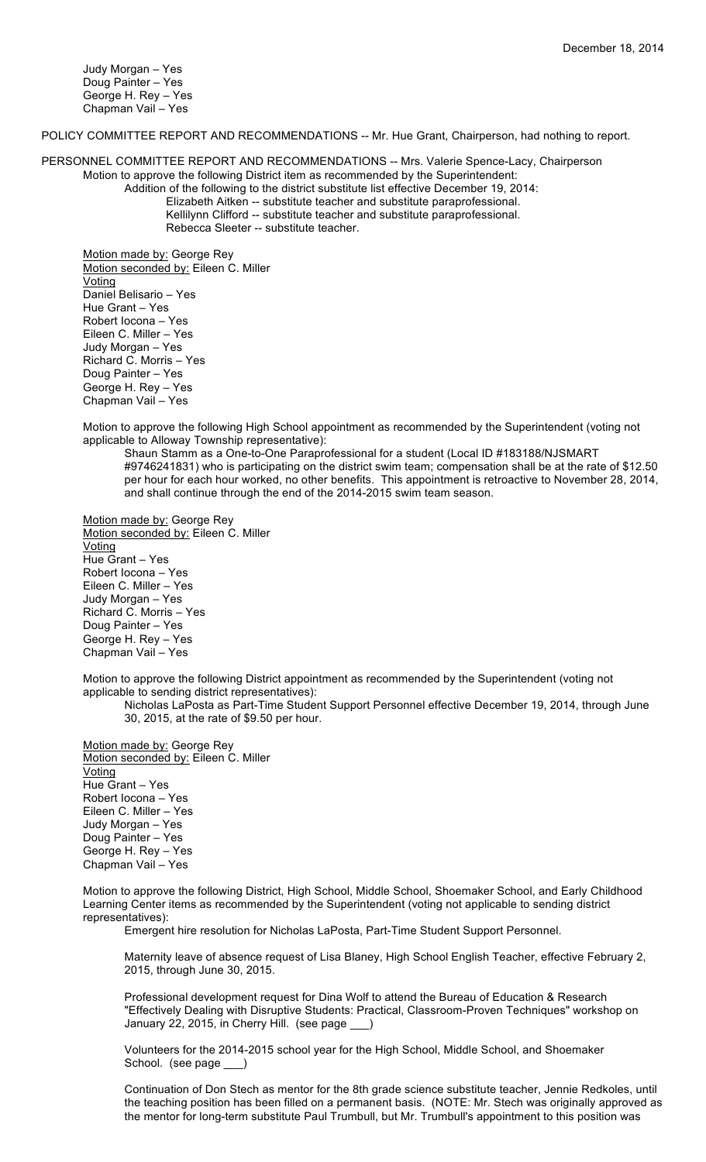Judy Morgan – Yes Doug Painter – Yes George H. Rey – Yes Chapman Vail – Yes

POLICY COMMITTEE REPORT AND RECOMMENDATIONS -- Mr. Hue Grant, Chairperson, had nothing to report.

PERSONNEL COMMITTEE REPORT AND RECOMMENDATIONS -- Mrs. Valerie Spence-Lacy, Chairperson Motion to approve the following District item as recommended by the Superintendent:

Addition of the following to the district substitute list effective December 19, 2014: Elizabeth Aitken -- substitute teacher and substitute paraprofessional. Kellilynn Clifford -- substitute teacher and substitute paraprofessional. Rebecca Sleeter -- substitute teacher.

Motion made by: George Rey Motion seconded by: Eileen C. Miller Voting Daniel Belisario – Yes Hue Grant – Yes Robert Iocona – Yes Eileen C. Miller – Yes Judy Morgan – Yes Richard C. Morris – Yes Doug Painter – Yes George H. Rey – Yes Chapman Vail – Yes

Motion to approve the following High School appointment as recommended by the Superintendent (voting not applicable to Alloway Township representative):

Shaun Stamm as a One-to-One Paraprofessional for a student (Local ID #183188/NJSMART #9746241831) who is participating on the district swim team; compensation shall be at the rate of \$12.50 per hour for each hour worked, no other benefits. This appointment is retroactive to November 28, 2014, and shall continue through the end of the 2014-2015 swim team season.

Motion made by: George Rey Motion seconded by: Eileen C. Miller Voting Hue Grant – Yes Robert Iocona – Yes Eileen C. Miller – Yes Judy Morgan – Yes Richard C. Morris – Yes Doug Painter – Yes George H. Rey – Yes Chapman Vail – Yes

Motion to approve the following District appointment as recommended by the Superintendent (voting not applicable to sending district representatives):

Nicholas LaPosta as Part-Time Student Support Personnel effective December 19, 2014, through June 30, 2015, at the rate of \$9.50 per hour.

Motion made by: George Rey Motion seconded by: Eileen C. Miller **Voting** Hue Grant – Yes Robert Iocona – Yes Eileen C. Miller – Yes Judy Morgan – Yes Doug Painter – Yes George H. Rey – Yes Chapman Vail – Yes

Motion to approve the following District, High School, Middle School, Shoemaker School, and Early Childhood Learning Center items as recommended by the Superintendent (voting not applicable to sending district representatives):

Emergent hire resolution for Nicholas LaPosta, Part-Time Student Support Personnel.

Maternity leave of absence request of Lisa Blaney, High School English Teacher, effective February 2, 2015, through June 30, 2015.

Professional development request for Dina Wolf to attend the Bureau of Education & Research "Effectively Dealing with Disruptive Students: Practical, Classroom-Proven Techniques" workshop on January 22, 2015, in Cherry Hill. (see page \_\_\_)

Volunteers for the 2014-2015 school year for the High School, Middle School, and Shoemaker School. (see page \_\_\_)

Continuation of Don Stech as mentor for the 8th grade science substitute teacher, Jennie Redkoles, until the teaching position has been filled on a permanent basis. (NOTE: Mr. Stech was originally approved as the mentor for long-term substitute Paul Trumbull, but Mr. Trumbull's appointment to this position was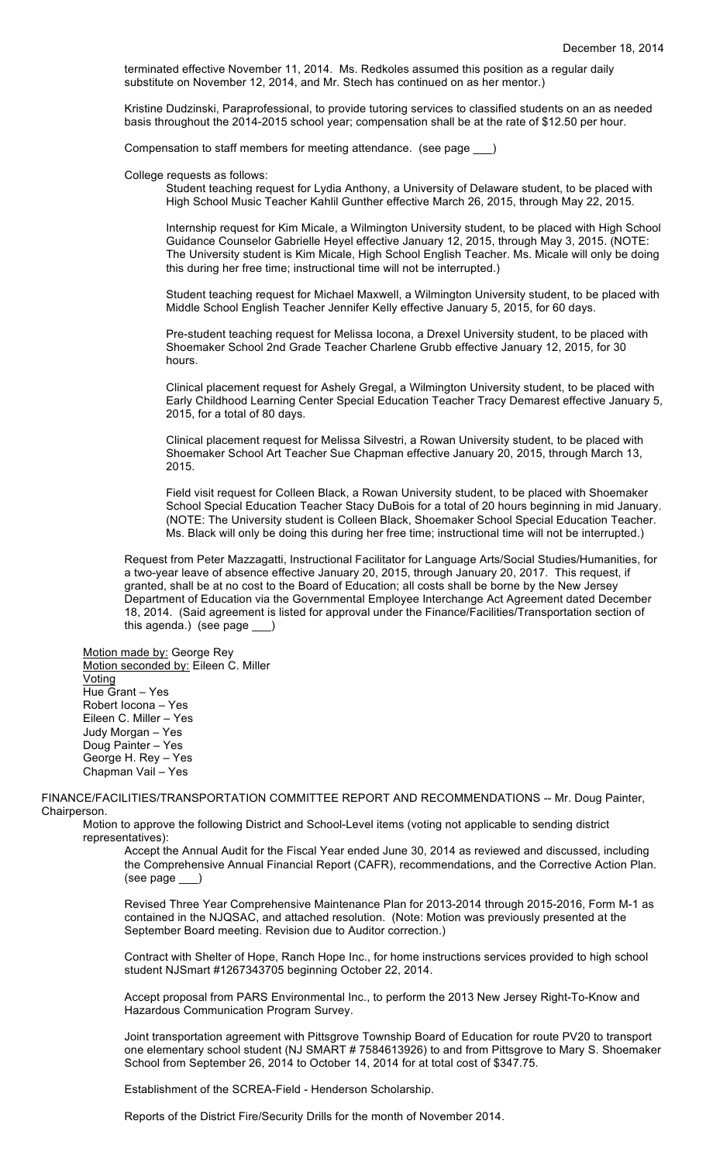terminated effective November 11, 2014. Ms. Redkoles assumed this position as a regular daily substitute on November 12, 2014, and Mr. Stech has continued on as her mentor.)

Kristine Dudzinski, Paraprofessional, to provide tutoring services to classified students on an as needed basis throughout the 2014-2015 school year; compensation shall be at the rate of \$12.50 per hour.

Compensation to staff members for meeting attendance. (see page \_\_\_)

#### College requests as follows:

Student teaching request for Lydia Anthony, a University of Delaware student, to be placed with High School Music Teacher Kahlil Gunther effective March 26, 2015, through May 22, 2015.

Internship request for Kim Micale, a Wilmington University student, to be placed with High School Guidance Counselor Gabrielle Heyel effective January 12, 2015, through May 3, 2015. (NOTE: The University student is Kim Micale, High School English Teacher. Ms. Micale will only be doing this during her free time; instructional time will not be interrupted.)

Student teaching request for Michael Maxwell, a Wilmington University student, to be placed with Middle School English Teacher Jennifer Kelly effective January 5, 2015, for 60 days.

Pre-student teaching request for Melissa Iocona, a Drexel University student, to be placed with Shoemaker School 2nd Grade Teacher Charlene Grubb effective January 12, 2015, for 30 hours.

Clinical placement request for Ashely Gregal, a Wilmington University student, to be placed with Early Childhood Learning Center Special Education Teacher Tracy Demarest effective January 5, 2015, for a total of 80 days.

Clinical placement request for Melissa Silvestri, a Rowan University student, to be placed with Shoemaker School Art Teacher Sue Chapman effective January 20, 2015, through March 13, 2015.

Field visit request for Colleen Black, a Rowan University student, to be placed with Shoemaker School Special Education Teacher Stacy DuBois for a total of 20 hours beginning in mid January. (NOTE: The University student is Colleen Black, Shoemaker School Special Education Teacher. Ms. Black will only be doing this during her free time; instructional time will not be interrupted.)

Request from Peter Mazzagatti, Instructional Facilitator for Language Arts/Social Studies/Humanities, for a two-year leave of absence effective January 20, 2015, through January 20, 2017. This request, if granted, shall be at no cost to the Board of Education; all costs shall be borne by the New Jersey Department of Education via the Governmental Employee Interchange Act Agreement dated December 18, 2014. (Said agreement is listed for approval under the Finance/Facilities/Transportation section of this agenda.) (see page \_\_\_)

Motion made by: George Rey Motion seconded by: Eileen C. Miller **Voting** Hue Grant – Yes Robert Iocona – Yes Eileen C. Miller – Yes Judy Morgan – Yes Doug Painter – Yes George H. Rey – Yes Chapman Vail – Yes

FINANCE/FACILITIES/TRANSPORTATION COMMITTEE REPORT AND RECOMMENDATIONS -- Mr. Doug Painter, Chairperson.

Motion to approve the following District and School-Level items (voting not applicable to sending district representatives):

Accept the Annual Audit for the Fiscal Year ended June 30, 2014 as reviewed and discussed, including the Comprehensive Annual Financial Report (CAFR), recommendations, and the Corrective Action Plan. (see page \_\_\_)

Revised Three Year Comprehensive Maintenance Plan for 2013-2014 through 2015-2016, Form M-1 as contained in the NJQSAC, and attached resolution. (Note: Motion was previously presented at the September Board meeting. Revision due to Auditor correction.)

Contract with Shelter of Hope, Ranch Hope Inc., for home instructions services provided to high school student NJSmart #1267343705 beginning October 22, 2014.

Accept proposal from PARS Environmental Inc., to perform the 2013 New Jersey Right-To-Know and Hazardous Communication Program Survey.

Joint transportation agreement with Pittsgrove Township Board of Education for route PV20 to transport one elementary school student (NJ SMART # 7584613926) to and from Pittsgrove to Mary S. Shoemaker School from September 26, 2014 to October 14, 2014 for at total cost of \$347.75.

Establishment of the SCREA-Field - Henderson Scholarship.

Reports of the District Fire/Security Drills for the month of November 2014.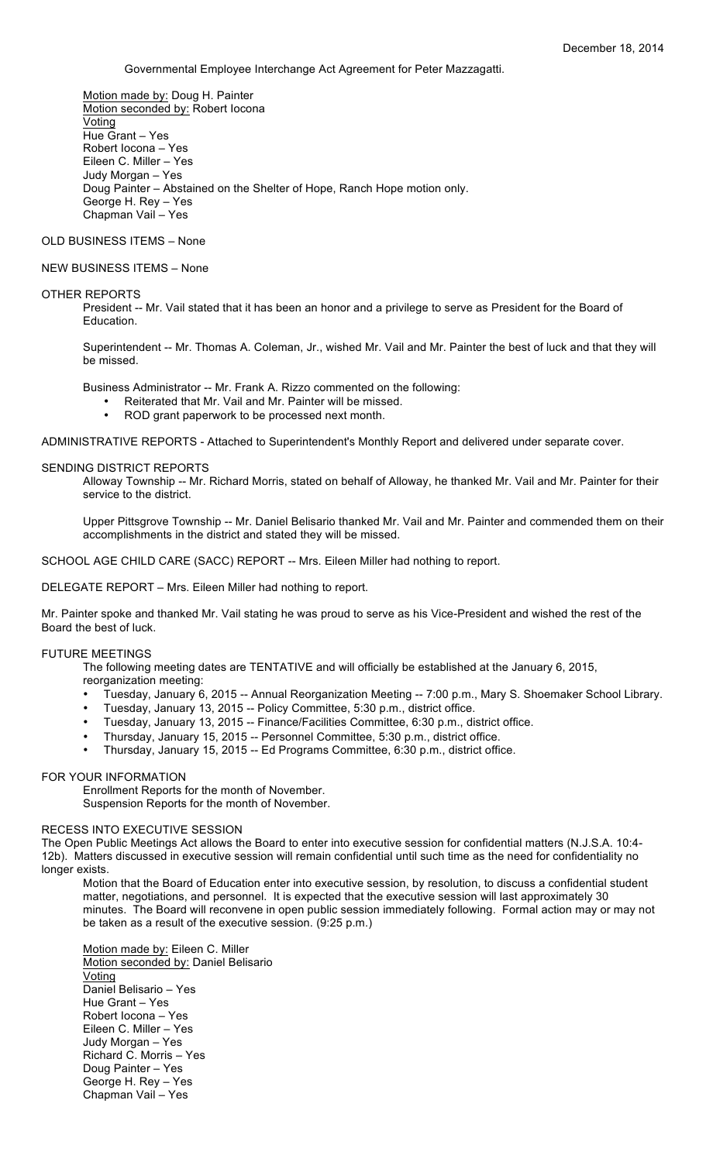Governmental Employee Interchange Act Agreement for Peter Mazzagatti.

Motion made by: Doug H. Painter Motion seconded by: Robert Iocona **Voting** Hue Grant – Yes Robert Iocona – Yes Eileen C. Miller – Yes Judy Morgan – Yes Doug Painter – Abstained on the Shelter of Hope, Ranch Hope motion only. George H. Rey – Yes Chapman Vail – Yes

### OLD BUSINESS ITEMS – None

# NEW BUSINESS ITEMS – None

## OTHER REPORTS

President -- Mr. Vail stated that it has been an honor and a privilege to serve as President for the Board of Education.

Superintendent -- Mr. Thomas A. Coleman, Jr., wished Mr. Vail and Mr. Painter the best of luck and that they will be missed.

Business Administrator -- Mr. Frank A. Rizzo commented on the following:

- Reiterated that Mr. Vail and Mr. Painter will be missed.
- ROD grant paperwork to be processed next month.

ADMINISTRATIVE REPORTS - Attached to Superintendent's Monthly Report and delivered under separate cover.

### SENDING DISTRICT REPORTS

Alloway Township -- Mr. Richard Morris, stated on behalf of Alloway, he thanked Mr. Vail and Mr. Painter for their service to the district.

Upper Pittsgrove Township -- Mr. Daniel Belisario thanked Mr. Vail and Mr. Painter and commended them on their accomplishments in the district and stated they will be missed.

SCHOOL AGE CHILD CARE (SACC) REPORT -- Mrs. Eileen Miller had nothing to report.

DELEGATE REPORT – Mrs. Eileen Miller had nothing to report.

Mr. Painter spoke and thanked Mr. Vail stating he was proud to serve as his Vice-President and wished the rest of the Board the best of luck.

#### FUTURE MEETINGS

The following meeting dates are TENTATIVE and will officially be established at the January 6, 2015, reorganization meeting:

- Tuesday, January 6, 2015 -- Annual Reorganization Meeting -- 7:00 p.m., Mary S. Shoemaker School Library.
- Tuesday, January 13, 2015 -- Policy Committee, 5:30 p.m., district office.
- Tuesday, January 13, 2015 -- Finance/Facilities Committee, 6:30 p.m., district office.
- Thursday, January 15, 2015 -- Personnel Committee, 5:30 p.m., district office.
- Thursday, January 15, 2015 -- Ed Programs Committee, 6:30 p.m., district office.

# FOR YOUR INFORMATION

Enrollment Reports for the month of November.

Suspension Reports for the month of November.

## RECESS INTO EXECUTIVE SESSION

The Open Public Meetings Act allows the Board to enter into executive session for confidential matters (N.J.S.A. 10:4- 12b). Matters discussed in executive session will remain confidential until such time as the need for confidentiality no longer exists.

Motion that the Board of Education enter into executive session, by resolution, to discuss a confidential student matter, negotiations, and personnel. It is expected that the executive session will last approximately 30 minutes. The Board will reconvene in open public session immediately following. Formal action may or may not be taken as a result of the executive session. (9:25 p.m.)

Motion made by: Eileen C. Miller Motion seconded by: Daniel Belisario Voting Daniel Belisario – Yes Hue Grant – Yes Robert Iocona – Yes Eileen C. Miller – Yes Judy Morgan – Yes Richard C. Morris – Yes Doug Painter – Yes George H. Rey – Yes Chapman Vail – Yes